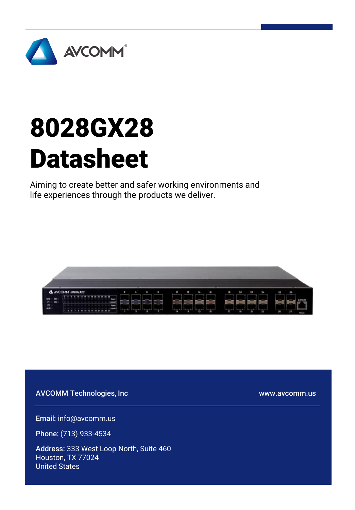

# 8028GX28 Datasheet

Aiming to create better and safer working environments and life experiences through the products we deliver.



AVCOMM Technologies, Inc

www.avcomm.us

Email: info@avcomm.us

Phone: (713) 933-4534

Address: 333 West Loop North, Suite 460 Houston, TX 77024 United States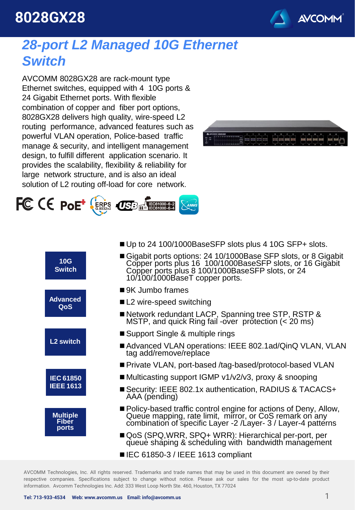## **8028GX28**



#### *28-port L2 Managed 10G Ethernet Switch*

AVCOMM 8028GX28 are rack-mount type Ethernet switches, equipped with 4 10G ports & 24 Gigabit Ethernet ports. With flexible combination of copper and fiber port options, 8028GX28 delivers high quality, wire-speed L2 routing performance, advanced features such as powerful VLAN operation, Police-based traffic manage & security, and intelligent management design, to fulfill different application scenario. It provides the scalability, flexibility & reliability for large network structure, and is also an ideal solution of L2 routing off-load for core network.





|  | 10G<br><b>Switch</b>                     | Gigabit ports options: 24 10/1000Base SFP slots, or 8 Gigabit<br>Copper ports plus 16 100/1000BaseSFP slots, or 16 Gigabit<br>Copper ports plus 8 100/1000BaseSFP slots, or 24<br>10/100/1000BaseT copper ports. |
|--|------------------------------------------|------------------------------------------------------------------------------------------------------------------------------------------------------------------------------------------------------------------|
|  | <b>Advanced</b><br>QoS                   | ■ 9K Jumbo frames                                                                                                                                                                                                |
|  |                                          | ■ L2 wire-speed switching                                                                                                                                                                                        |
|  |                                          | ■ Network redundant LACP, Spanning tree STP, RSTP &<br>MSTP, and quick Ring fail -over protection (< 20 ms)                                                                                                      |
|  |                                          | ■ Support Single & multiple rings                                                                                                                                                                                |
|  | L <sub>2</sub> switch                    | Advanced VLAN operations: IEEE 802.1ad/QinQ VLAN, VLAN<br>tag add/remove/replace                                                                                                                                 |
|  | <b>IEC 61850</b><br><b>IEEE 1613</b>     | ■ Private VLAN, port-based /tag-based/protocol-based VLAN                                                                                                                                                        |
|  |                                          | ■ Multicasting support IGMP v1/v2/v3, proxy & snooping                                                                                                                                                           |
|  |                                          | ■ Security: IEEE 802.1x authentication, RADIUS & TACACS+<br>AAA (pending)                                                                                                                                        |
|  | <b>Multiple</b><br><b>Fiber</b><br>ports | ■ Policy-based traffic control engine for actions of Deny, Allow,<br>Queue mapping, rate limit, mirror, or CoS remark on any<br>combination of specific Layer -2 /Layer- 3 / Layer-4 patterns                    |
|  |                                          | ■ QoS (SPQ,WRR, SPQ+ WRR): Hierarchical per-port, per<br>queue shaping & scheduling with bandwidth management                                                                                                    |
|  |                                          |                                                                                                                                                                                                                  |

■ Up to 24 100/1000BaseSFP slots plus 4 10G SFP+ slots.

■ IEC 61850-3 / IEEE 1613 compliant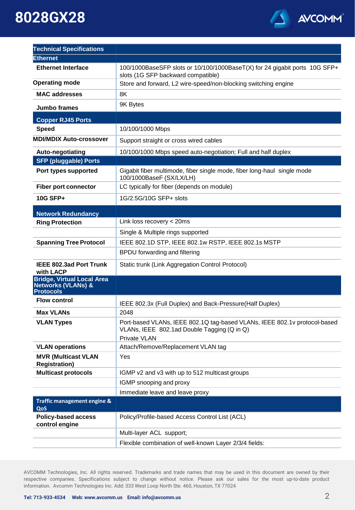#### AVCOMM®

## **8028GX28**

| <b>Technical Specifications</b>                                                        |                                                                                                                                          |
|----------------------------------------------------------------------------------------|------------------------------------------------------------------------------------------------------------------------------------------|
| <b>Ethernet</b>                                                                        |                                                                                                                                          |
| <b>Ethernet Interface</b>                                                              | 100/1000BaseSFP slots or 10/100/1000BaseT(X) for 24 gigabit ports 10G SFP+<br>slots (1G SFP backward compatible)                         |
| <b>Operating mode</b>                                                                  | Store and forward, L2 wire-speed/non-blocking switching engine                                                                           |
| <b>MAC addresses</b>                                                                   | 8K                                                                                                                                       |
| Jumbo frames                                                                           | 9K Bytes                                                                                                                                 |
| <b>Copper RJ45 Ports</b>                                                               |                                                                                                                                          |
| <b>Speed</b>                                                                           | 10/100/1000 Mbps                                                                                                                         |
| <b>MDI/MDIX Auto-crossover</b>                                                         | Support straight or cross wired cables                                                                                                   |
| Auto-negotiating                                                                       | 10/100/1000 Mbps speed auto-negotiation; Full and half duplex                                                                            |
| <b>SFP (pluggable) Ports</b>                                                           |                                                                                                                                          |
| Port types supported                                                                   | Gigabit fiber multimode, fiber single mode, fiber long-haul single mode<br>100/1000BaseF (SX/LX/LH)                                      |
| <b>Fiber port connector</b>                                                            | LC typically for fiber (depends on module)                                                                                               |
| 10G SFP+                                                                               | 1G/2.5G/10G SFP+ slots                                                                                                                   |
| <b>Network Redundancy</b>                                                              |                                                                                                                                          |
| <b>Ring Protection</b>                                                                 | Link loss recovery < 20ms                                                                                                                |
|                                                                                        | Single & Multiple rings supported                                                                                                        |
| <b>Spanning Tree Protocol</b>                                                          | IEEE 802.1D STP, IEEE 802.1w RSTP, IEEE 802.1s MSTP                                                                                      |
|                                                                                        | BPDU forwarding and filtering                                                                                                            |
| <b>IEEE 802.3ad Port Trunk</b><br>with LACP                                            | Static trunk (Link Aggregation Control Protocol)                                                                                         |
| <b>Bridge, Virtual Local Area</b><br><b>Networks (VLANs) &amp;</b><br><b>Protocols</b> |                                                                                                                                          |
| <b>Flow control</b>                                                                    | IEEE 802.3x (Full Duplex) and Back-Pressure(Half Duplex)                                                                                 |
| <b>Max VLANs</b>                                                                       | 2048                                                                                                                                     |
| <b>VLAN Types</b>                                                                      | Port-based VLANs, IEEE 802.1Q tag-based VLANs, IEEE 802.1v protocol-based<br>VLANs, IEEE 802.1ad Double Tagging (Q in Q)<br>Private VLAN |
| <b>VLAN operations</b>                                                                 | Attach/Remove/Replacement VLAN tag                                                                                                       |
| <b>MVR (Multicast VLAN</b><br><b>Registration)</b>                                     | Yes                                                                                                                                      |
| <b>Multicast protocols</b>                                                             | IGMP v2 and v3 with up to 512 multicast groups                                                                                           |
|                                                                                        | IGMP snooping and proxy                                                                                                                  |
|                                                                                        | Immediate leave and leave proxy                                                                                                          |
| Traffic management engine &<br>QoS                                                     |                                                                                                                                          |
| <b>Policy-based access</b><br>control engine                                           | Policy/Profile-based Access Control List (ACL)                                                                                           |
|                                                                                        | Multi-layer ACL support;                                                                                                                 |
|                                                                                        | Flexible combination of well-known Layer 2/3/4 fields:                                                                                   |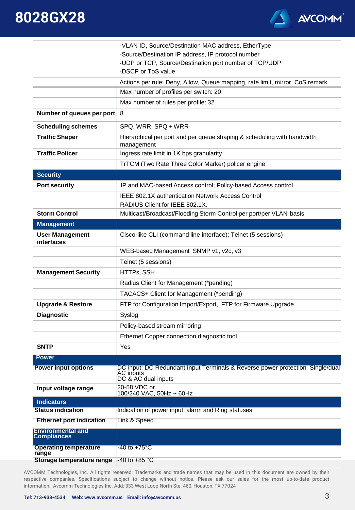



|                                                | -VLAN ID, Source/Destination MAC address, EtherType                                                               |
|------------------------------------------------|-------------------------------------------------------------------------------------------------------------------|
|                                                | -Source/Destination IP address, IP protocol number                                                                |
|                                                | -UDP or TCP, Source/Destination port number of TCP/UDP<br>-DSCP or ToS value                                      |
|                                                | Actions per rule: Deny, Allow, Queue mapping, rate limit, mirror, CoS remark                                      |
|                                                | Max number of profiles per switch: 20                                                                             |
|                                                | Max number of rules per profile: 32                                                                               |
| Number of queues per port                      | 8                                                                                                                 |
| <b>Scheduling schemes</b>                      | SPQ, WRR, SPQ + WRR                                                                                               |
| <b>Traffic Shaper</b>                          | Hierarchical per port and per queue shaping & scheduling with bandwidth<br>management                             |
| <b>Traffic Policer</b>                         | Ingress rate limit in 1K bps granularity                                                                          |
|                                                | TrTCM (Two Rate Three Color Marker) policer engine                                                                |
| <b>Security</b>                                |                                                                                                                   |
| <b>Port security</b>                           | IP and MAC-based Access control; Policy-based Access control                                                      |
|                                                | <b>IEEE 802.1X authentication Network Access Control</b>                                                          |
|                                                | RADIUS Client for IEEE 802.1X.                                                                                    |
| <b>Storm Control</b>                           | Multicast/Broadcast/Flooding Storm Control per port/per VLAN basis                                                |
| <b>Management</b>                              |                                                                                                                   |
| <b>User Management</b><br>interfaces           | Cisco-like CLI (command line interface); Telnet (5 sessions)                                                      |
|                                                | WEB-based Management SNMP v1, v2c, v3                                                                             |
|                                                | Telnet (5 sessions)                                                                                               |
| <b>Management Security</b>                     | HTTPs, SSH                                                                                                        |
|                                                | Radius Client for Management (*pending)                                                                           |
|                                                | TACACS+ Client for Management (*pending)                                                                          |
| <b>Upgrade &amp; Restore</b>                   | FTP for Configuration Import/Export, FTP for Firmware Upgrade                                                     |
| <b>Diagnostic</b>                              | Syslog                                                                                                            |
|                                                | Policy-based stream mirroring                                                                                     |
|                                                | Ethernet Copper connection diagnostic tool                                                                        |
| <b>SNTP</b>                                    | Yes                                                                                                               |
| <b>Power</b>                                   |                                                                                                                   |
| <b>Power input options</b>                     | DC input: DC Redundant Input Terminals & Reverse power protection Single/dual<br>AC inputs<br>DC & AC dual inputs |
| Input voltage range                            | 20-58 VDC or<br>100/240 VAC, 50Hz ~ 60Hz                                                                          |
| <b>Indicators</b>                              |                                                                                                                   |
| <b>Status indication</b>                       | Indication of power input, alarm and Ring statuses                                                                |
| <b>Ethernet port indication</b>                | Link & Speed                                                                                                      |
| <b>Environmental and</b><br><b>Compliances</b> |                                                                                                                   |
| <b>Operating temperature</b><br>range          | -40 to +75°C                                                                                                      |
| Storage temperature range                      | -40 to +85 °C                                                                                                     |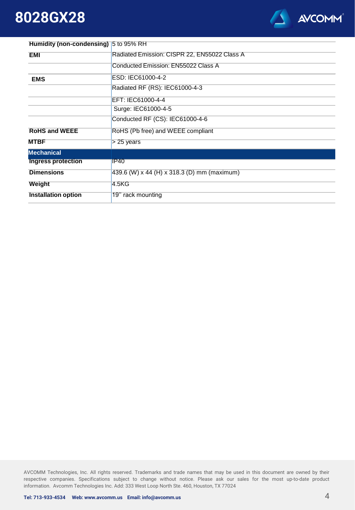#### **8028GX28**



| <b>Humidity (non-condensing)</b> 5 to 95% RH |                                              |
|----------------------------------------------|----------------------------------------------|
| <b>EMI</b>                                   | Radiated Emission: CISPR 22, EN55022 Class A |
|                                              | Conducted Emission: EN55022 Class A          |
| <b>EMS</b>                                   | ESD: IEC61000-4-2                            |
|                                              | Radiated RF (RS): IEC61000-4-3               |
|                                              | EFT: IEC61000-4-4                            |
|                                              | Surge: IEC61000-4-5                          |
|                                              | Conducted RF (CS): IEC61000-4-6              |
| <b>RoHS and WEEE</b>                         | RoHS (Pb free) and WEEE compliant            |
| <b>MTBF</b>                                  | $> 25$ years                                 |
| <b>Mechanical</b>                            |                                              |
| <b>Ingress protection</b>                    | <b>IP40</b>                                  |
| <b>Dimensions</b>                            | 439.6 (W) x 44 (H) x 318.3 (D) mm (maximum)  |
| Weight                                       | 4.5KG                                        |
| <b>Installation option</b>                   | 19" rack mounting                            |